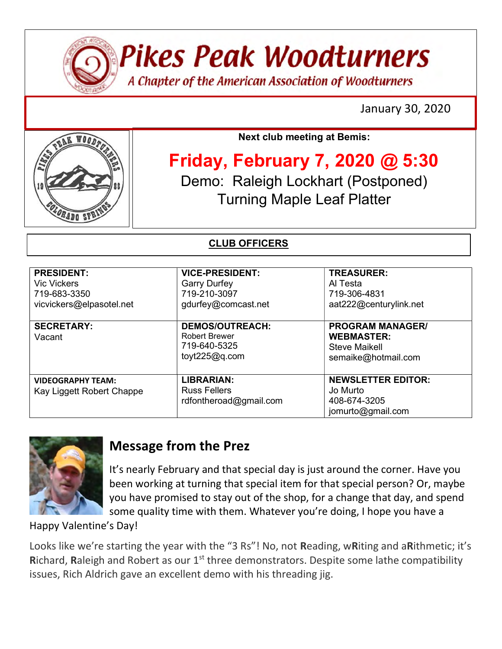

**Pikes Peak Woodturners** 

A Chapter of the American Association of Woodturners

January 30, 2020



Next club meeting at Bemis:

Friday, February 7, 2020 @ 5:30 Demo: Raleigh Lockhart (Postponed) Turning Maple Leaf Platter

### CLUB OFFICERS

| <b>PRESIDENT:</b><br><b>Vic Vickers</b><br>719-683-3350<br>vicvickers@elpasotel.net | <b>VICE-PRESIDENT:</b><br><b>Garry Durfey</b><br>719-210-3097<br>gdurfey@comcast.net | <b>TREASURER:</b><br>Al Testa<br>719-306-4831<br>aat222@centurylink.net              |
|-------------------------------------------------------------------------------------|--------------------------------------------------------------------------------------|--------------------------------------------------------------------------------------|
| <b>SECRETARY:</b><br>Vacant                                                         | <b>DEMOS/OUTREACH:</b><br><b>Robert Brewer</b><br>719-640-5325<br>toyt $225@q.com$   | <b>PROGRAM MANAGER/</b><br><b>WEBMASTER:</b><br>Steve Maikell<br>semaike@hotmail.com |
| <b>VIDEOGRAPHY TEAM:</b><br>Kay Liggett Robert Chappe                               | <b>LIBRARIAN:</b><br><b>Russ Fellers</b><br>rdfontheroad@gmail.com                   | <b>NEWSLETTER EDITOR:</b><br>Jo Murto<br>408-674-3205<br>jomurto@gmail.com           |



## Message from the Prez

It's nearly February and that special day is just around the corner. Have you been working at turning that special item for that special person? Or, maybe you have promised to stay out of the shop, for a change that day, and spend some quality time with them. Whatever you're doing, I hope you have a

Happy Valentine's Day!

Looks like we're starting the year with the "3 Rs"! No, not Reading, wRiting and aRithmetic; it's Richard, Raleigh and Robert as our  $1<sup>st</sup>$  three demonstrators. Despite some lathe compatibility issues, Rich Aldrich gave an excellent demo with his threading jig.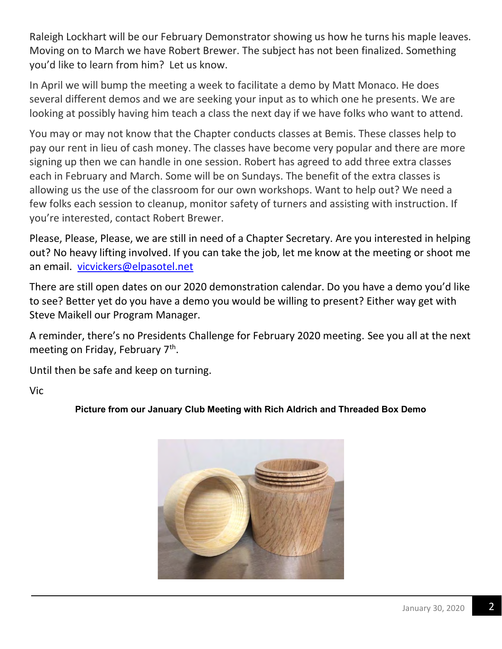Raleigh Lockhart will be our February Demonstrator showing us how he turns his maple leaves. Moving on to March we have Robert Brewer. The subject has not been finalized. Something you'd like to learn from him? Let us know.

In April we will bump the meeting a week to facilitate a demo by Matt Monaco. He does several different demos and we are seeking your input as to which one he presents. We are looking at possibly having him teach a class the next day if we have folks who want to attend.

You may or may not know that the Chapter conducts classes at Bemis. These classes help to pay our rent in lieu of cash money. The classes have become very popular and there are more signing up then we can handle in one session. Robert has agreed to add three extra classes each in February and March. Some will be on Sundays. The benefit of the extra classes is allowing us the use of the classroom for our own workshops. Want to help out? We need a few folks each session to cleanup, monitor safety of turners and assisting with instruction. If you're interested, contact Robert Brewer.

Please, Please, Please, we are still in need of a Chapter Secretary. Are you interested in helping out? No heavy lifting involved. If you can take the job, let me know at the meeting or shoot me an email. vicvickers@elpasotel.net

There are still open dates on our 2020 demonstration calendar. Do you have a demo you'd like to see? Better yet do you have a demo you would be willing to present? Either way get with Steve Maikell our Program Manager.

A reminder, there's no Presidents Challenge for February 2020 meeting. See you all at the next meeting on Friday, February 7<sup>th</sup>.

Until then be safe and keep on turning.

Vic

Picture from our January Club Meeting with Rich Aldrich and Threaded Box Demo

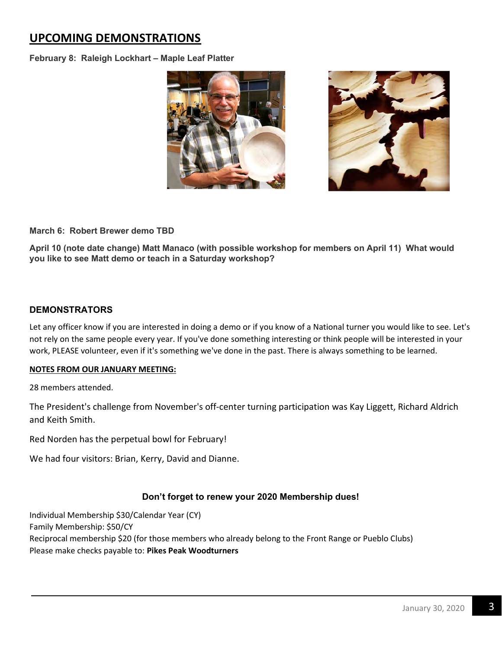### UPCOMING DEMONSTRATIONS

February 8: Raleigh Lockhart – Maple Leaf Platter



March 6: Robert Brewer demo TBD

April 10 (note date change) Matt Manaco (with possible workshop for members on April 11) What would you like to see Matt demo or teach in a Saturday workshop?

#### **DEMONSTRATORS**

Let any officer know if you are interested in doing a demo or if you know of a National turner you would like to see. Let's not rely on the same people every year. If you've done something interesting or think people will be interested in your work, PLEASE volunteer, even if it's something we've done in the past. There is always something to be learned.

#### NOTES FROM OUR JANUARY MEETING:

28 members attended.

The President's challenge from November's off-center turning participation was Kay Liggett, Richard Aldrich and Keith Smith.

Red Norden has the perpetual bowl for February!

We had four visitors: Brian, Kerry, David and Dianne.

#### Don't forget to renew your 2020 Membership dues!

Individual Membership \$30/Calendar Year (CY) Family Membership: \$50/CY Reciprocal membership \$20 (for those members who already belong to the Front Range or Pueblo Clubs) Please make checks payable to: Pikes Peak Woodturners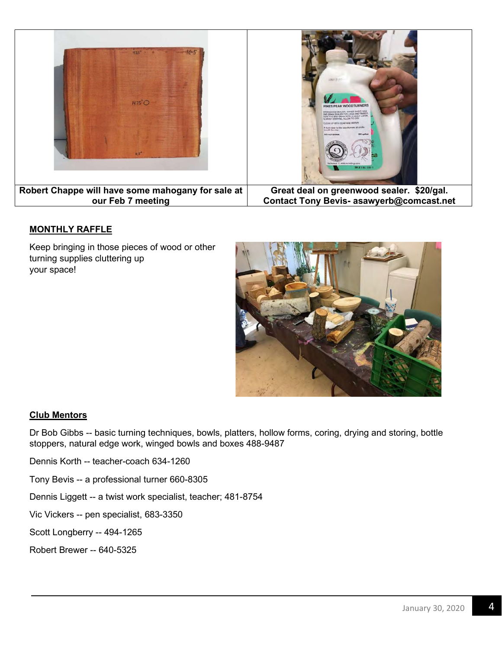

#### MONTHLY RAFFLE

Keep bringing in those pieces of wood or other turning supplies cluttering up your space!



#### Club Mentors

Dr Bob Gibbs -- basic turning techniques, bowls, platters, hollow forms, coring, drying and storing, bottle stoppers, natural edge work, winged bowls and boxes 488-9487

Dennis Korth -- teacher-coach 634-1260

Tony Bevis -- a professional turner 660-8305

Dennis Liggett -- a twist work specialist, teacher; 481-8754

Vic Vickers -- pen specialist, 683-3350

Scott Longberry -- 494-1265

Robert Brewer -- 640-5325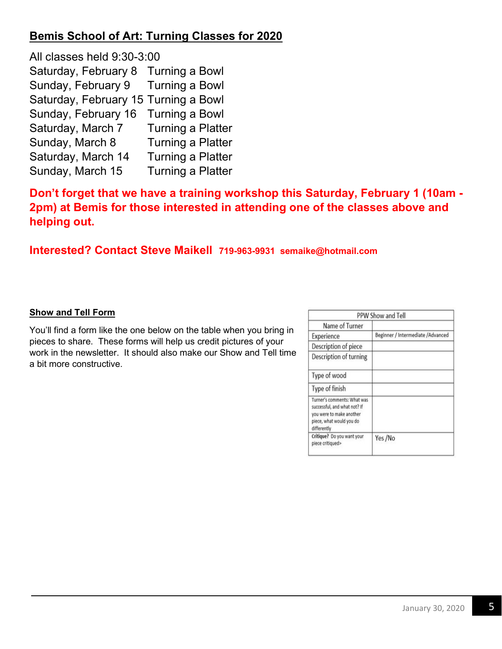## Bemis School of Art: Turning Classes for 2020

All classes held 9:30-3:00 Saturday, February 8 Turning a Bowl Sunday, February 9 Turning a Bowl Saturday, February 15 Turning a Bowl Sunday, February 16 Turning a Bowl Saturday, March 7 Turning a Platter Sunday, March 8 Turning a Platter Saturday, March 14 Turning a Platter Sunday, March 15 Turning a Platter

Don't forget that we have a training workshop this Saturday, February 1 (10am - 2pm) at Bemis for those interested in attending one of the classes above and helping out.

### Interested? Contact Steve Maikell 719-963-9931 semaike@hotmail.com

#### Show and Tell Form

You'll find a form like the one below on the table when you bring in pieces to share. These forms will help us credit pictures of your work in the newsletter. It should also make our Show and Tell time a bit more constructive.

|                                                                                                                                    | PPW Show and Tell                  |
|------------------------------------------------------------------------------------------------------------------------------------|------------------------------------|
| Name of Turner                                                                                                                     |                                    |
| Experience                                                                                                                         | Beginner / Intermediate / Advanced |
| Description of piece                                                                                                               |                                    |
| Description of turning                                                                                                             |                                    |
| Type of wood                                                                                                                       |                                    |
| Type of finish                                                                                                                     |                                    |
| Turner's comments: What was<br>successful, and what not? If<br>you were to make another<br>piece, what would you do<br>differently |                                    |
| Critique? Do you want your<br>piece critiqued>                                                                                     | Yes/No                             |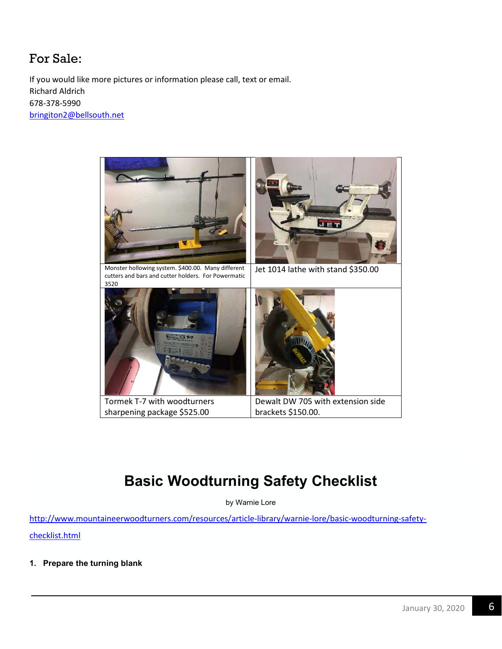## For Sale:

If you would like more pictures or information please call, text or email. Richard Aldrich 678-378-5990 bringiton2@bellsouth.net



# Basic Woodturning Safety Checklist

by Warnie Lore

http://www.mountaineerwoodturners.com/resources/article-library/warnie-lore/basic-woodturning-safety-

checklist.html

1. Prepare the turning blank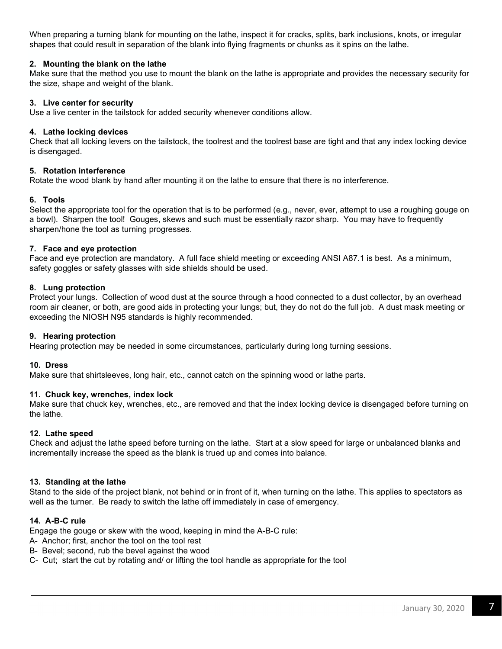When preparing a turning blank for mounting on the lathe, inspect it for cracks, splits, bark inclusions, knots, or irregular shapes that could result in separation of the blank into flying fragments or chunks as it spins on the lathe.

#### 2. Mounting the blank on the lathe

Make sure that the method you use to mount the blank on the lathe is appropriate and provides the necessary security for the size, shape and weight of the blank.

#### 3. Live center for security

Use a live center in the tailstock for added security whenever conditions allow.

#### 4. Lathe locking devices

Check that all locking levers on the tailstock, the toolrest and the toolrest base are tight and that any index locking device is disengaged.

#### 5. Rotation interference

Rotate the wood blank by hand after mounting it on the lathe to ensure that there is no interference.

#### 6. Tools

Select the appropriate tool for the operation that is to be performed (e.g., never, ever, attempt to use a roughing gouge on a bowl). Sharpen the tool! Gouges, skews and such must be essentially razor sharp. You may have to frequently sharpen/hone the tool as turning progresses.

#### 7. Face and eye protection

Face and eye protection are mandatory. A full face shield meeting or exceeding ANSI A87.1 is best. As a minimum, safety goggles or safety glasses with side shields should be used.

#### 8. Lung protection

Protect your lungs. Collection of wood dust at the source through a hood connected to a dust collector, by an overhead room air cleaner, or both, are good aids in protecting your lungs; but, they do not do the full job. A dust mask meeting or exceeding the NIOSH N95 standards is highly recommended.

#### 9. Hearing protection

Hearing protection may be needed in some circumstances, particularly during long turning sessions.

#### 10. Dress

Make sure that shirtsleeves, long hair, etc., cannot catch on the spinning wood or lathe parts.

#### 11. Chuck key, wrenches, index lock

Make sure that chuck key, wrenches, etc., are removed and that the index locking device is disengaged before turning on the lathe.

#### 12. Lathe speed

Check and adjust the lathe speed before turning on the lathe. Start at a slow speed for large or unbalanced blanks and incrementally increase the speed as the blank is trued up and comes into balance.

#### 13. Standing at the lathe

Stand to the side of the project blank, not behind or in front of it, when turning on the lathe. This applies to spectators as well as the turner. Be ready to switch the lathe off immediately in case of emergency.

#### 14. A-B-C rule

Engage the gouge or skew with the wood, keeping in mind the A-B-C rule:

- A- Anchor; first, anchor the tool on the tool rest
- B- Bevel; second, rub the bevel against the wood
- C- Cut; start the cut by rotating and/ or lifting the tool handle as appropriate for the tool